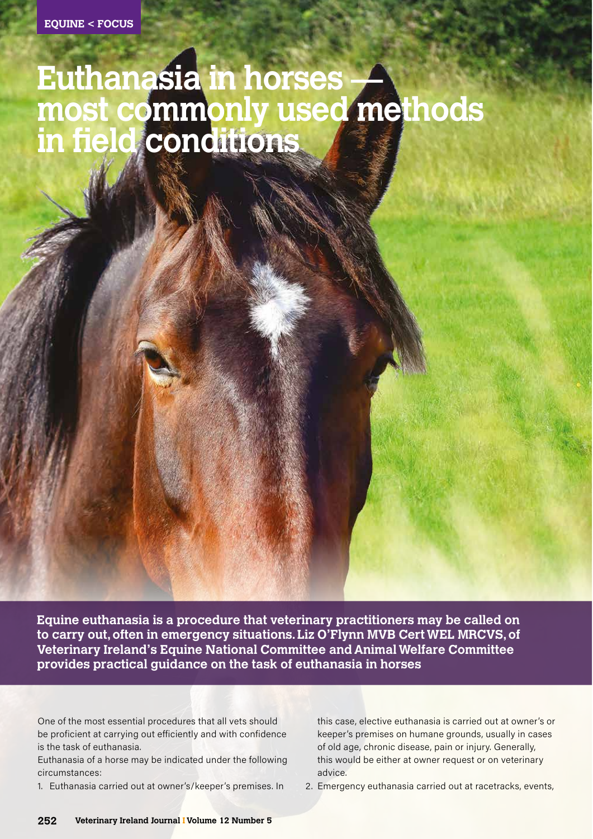# **Euthanasia in horses most commonly used methods in field conditions**

**Equine euthanasia is a procedure that veterinary practitioners may be called on to carry out, often in emergency situations. Liz O'Flynn MVB Cert WEL MRCVS, of Veterinary Ireland's Equine National Committee and Animal Welfare Committee provides practical guidance on the task of euthanasia in horses**

One of the most essential procedures that all vets should be proficient at carrying out efficiently and with confidence is the task of euthanasia.

Euthanasia of a horse may be indicated under the following circumstances:

1. Euthanasia carried out at owner's/keeper's premises. In

this case, elective euthanasia is carried out at owner's or keeper's premises on humane grounds, usually in cases of old age, chronic disease, pain or injury. Generally, this would be either at owner request or on veterinary advice.

2. Emergency euthanasia carried out at racetracks, events,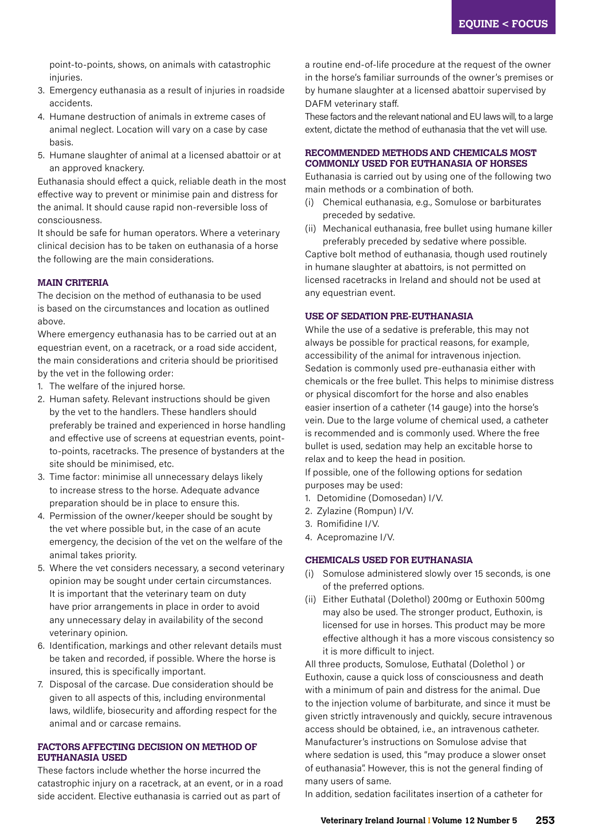point-to-points, shows, on animals with catastrophic injuries.

- 3. Emergency euthanasia as a result of injuries in roadside accidents.
- 4. Humane destruction of animals in extreme cases of animal neglect. Location will vary on a case by case basis.
- 5. Humane slaughter of animal at a licensed abattoir or at an approved knackery.

Euthanasia should effect a quick, reliable death in the most effective way to prevent or minimise pain and distress for the animal. It should cause rapid non-reversible loss of consciousness.

It should be safe for human operators. Where a veterinary clinical decision has to be taken on euthanasia of a horse the following are the main considerations.

# **MAIN CRITERIA**

The decision on the method of euthanasia to be used is based on the circumstances and location as outlined above.

Where emergency euthanasia has to be carried out at an equestrian event, on a racetrack, or a road side accident, the main considerations and criteria should be prioritised by the vet in the following order:

- 1. The welfare of the injured horse.
- 2. Human safety. Relevant instructions should be given by the vet to the handlers. These handlers should preferably be trained and experienced in horse handling and effective use of screens at equestrian events, pointto-points, racetracks. The presence of bystanders at the site should be minimised, etc.
- 3. Time factor: minimise all unnecessary delays likely to increase stress to the horse. Adequate advance preparation should be in place to ensure this.
- 4. Permission of the owner/keeper should be sought by the vet where possible but, in the case of an acute emergency, the decision of the vet on the welfare of the animal takes priority.
- 5. Where the vet considers necessary, a second veterinary opinion may be sought under certain circumstances. It is important that the veterinary team on duty have prior arrangements in place in order to avoid any unnecessary delay in availability of the second veterinary opinion.
- 6. Identification, markings and other relevant details must be taken and recorded, if possible. Where the horse is insured, this is specifically important.
- 7. Disposal of the carcase. Due consideration should be given to all aspects of this, including environmental laws, wildlife, biosecurity and affording respect for the animal and or carcase remains.

#### **FACTORS AFFECTING DECISION ON METHOD OF EUTHANASIA USED**

These factors include whether the horse incurred the catastrophic injury on a racetrack, at an event, or in a road side accident. Elective euthanasia is carried out as part of

a routine end-of-life procedure at the request of the owner in the horse's familiar surrounds of the owner's premises or by humane slaughter at a licensed abattoir supervised by DAFM veterinary staff.

These factors and the relevant national and EU laws will, to a large extent, dictate the method of euthanasia that the vet will use.

# **RECOMMENDED METHODS AND CHEMICALS MOST COMMONLY USED FOR EUTHANASIA OF HORSES**

Euthanasia is carried out by using one of the following two main methods or a combination of both.

- (i) Chemical euthanasia, e.g., Somulose or barbiturates preceded by sedative.
- (ii) Mechanical euthanasia, free bullet using humane killer preferably preceded by sedative where possible.

Captive bolt method of euthanasia, though used routinely in humane slaughter at abattoirs, is not permitted on licensed racetracks in Ireland and should not be used at any equestrian event.

## **USE OF SEDATION PRE-EUTHANASIA**

While the use of a sedative is preferable, this may not always be possible for practical reasons, for example, accessibility of the animal for intravenous injection. Sedation is commonly used pre-euthanasia either with chemicals or the free bullet. This helps to minimise distress or physical discomfort for the horse and also enables easier insertion of a catheter (14 gauge) into the horse's vein. Due to the large volume of chemical used, a catheter is recommended and is commonly used. Where the free bullet is used, sedation may help an excitable horse to relax and to keep the head in position.

If possible, one of the following options for sedation purposes may be used:

- 1. Detomidine (Domosedan) I/V.
- 2. Zylazine (Rompun) I/V.
- 3. Romifidine I/V.
- 4. Acepromazine I/V.

## **CHEMICALS USED FOR EUTHANASIA**

- (i) Somulose administered slowly over 15 seconds, is one of the preferred options.
- (ii) Either Euthatal (Dolethol) 200mg or Euthoxin 500mg may also be used. The stronger product, Euthoxin, is licensed for use in horses. This product may be more effective although it has a more viscous consistency so it is more difficult to inject.

All three products, Somulose, Euthatal (Dolethol ) or Euthoxin, cause a quick loss of consciousness and death with a minimum of pain and distress for the animal. Due to the injection volume of barbiturate, and since it must be given strictly intravenously and quickly, secure intravenous access should be obtained, i.e., an intravenous catheter. Manufacturer's instructions on Somulose advise that where sedation is used, this "may produce a slower onset of euthanasia". However, this is not the general finding of many users of same.

In addition, sedation facilitates insertion of a catheter for